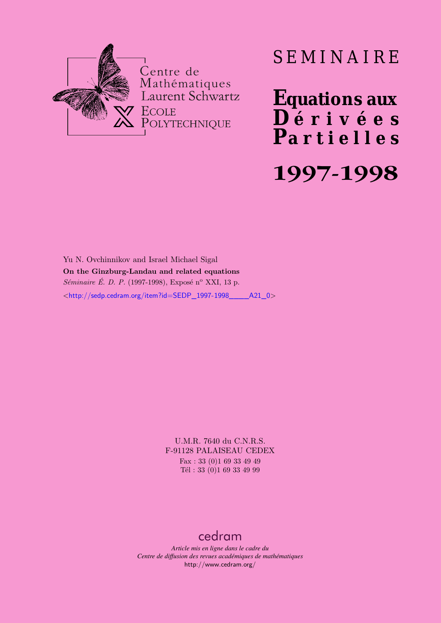

# SEMINAIRE

**Equations aux**  $\overline{\mathbf{D}}$  érivées **Partielles 1997-1998**

Yu N. Ovchinnikov and Israel Michael Sigal **On the Ginzburg-Landau and related equations** *Séminaire É. D. P.* (1997-1998), Exposé n<sup>o</sup> XXI, 13 p. <[http://sedp.cedram.org/item?id=SEDP\\_1997-1998\\_\\_\\_\\_A21\\_0](http://sedp.cedram.org/item?id=SEDP_1997-1998____A21_0)>

> U.M.R. 7640 du C.N.R.S. F-91128 PALAISEAU CEDEX Fax : 33 (0)1 69 33 49 49 Tél : 33 (0)1 69 33 49 99

# [cedram](http://www.cedram.org/)

*Article mis en ligne dans le cadre du Centre de diffusion des revues académiques de mathématiques* <http://www.cedram.org/>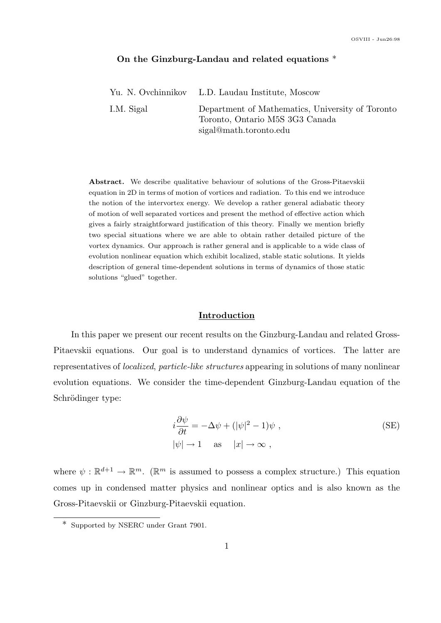#### On the Ginzburg-Landau and related equations \*

|            | Yu. N. Ovchinnikov L.D. Laudau Institute, Moscow                                                              |
|------------|---------------------------------------------------------------------------------------------------------------|
| I.M. Sigal | Department of Mathematics, University of Toronto<br>Toronto, Ontario M5S 3G3 Canada<br>sigal@math.toronto.edu |

Abstract. We describe qualitative behaviour of solutions of the Gross-Pitaevskii equation in 2D in terms of motion of vortices and radiation. To this end we introduce the notion of the intervortex energy. We develop a rather general adiabatic theory of motion of well separated vortices and present the method of effective action which gives a fairly straightforward justification of this theory. Finally we mention briefly two special situations where we are able to obtain rather detailed picture of the vortex dynamics. Our approach is rather general and is applicable to a wide class of evolution nonlinear equation which exhibit localized, stable static solutions. It yields description of general time-dependent solutions in terms of dynamics of those static solutions "glued" together.

#### Introduction

In this paper we present our recent results on the Ginzburg-Landau and related Gross-Pitaevskii equations. Our goal is to understand dynamics of vortices. The latter are representatives of localized, particle-like structures appearing in solutions of many nonlinear evolution equations. We consider the time-dependent Ginzburg-Landau equation of the Schrödinger type:

$$
i\frac{\partial \psi}{\partial t} = -\Delta \psi + (|\psi|^2 - 1)\psi ,
$$
  
 
$$
|\psi| \to 1 \quad \text{as} \quad |x| \to \infty ,
$$
 (SE)

where  $\psi : \mathbb{R}^{d+1} \to \mathbb{R}^m$ . ( $\mathbb{R}^m$  is assumed to possess a complex structure.) This equation comes up in condensed matter physics and nonlinear optics and is also known as the Gross-Pitaevskii or Ginzburg-Pitaevskii equation.

<sup>\*</sup> Supported by NSERC under Grant 7901.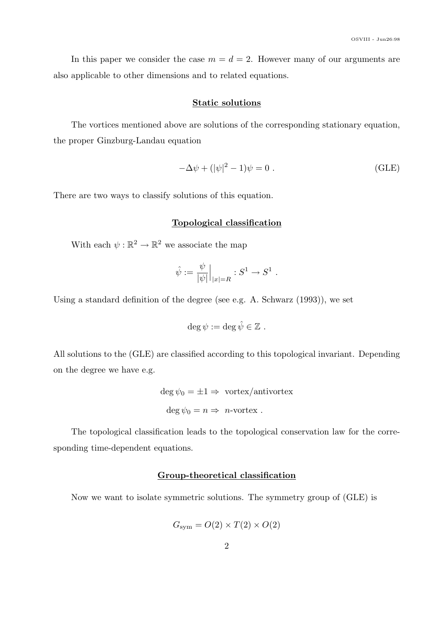In this paper we consider the case  $m = d = 2$ . However many of our arguments are also applicable to other dimensions and to related equations.

# Static solutions

The vortices mentioned above are solutions of the corresponding stationary equation, the proper Ginzburg-Landau equation

$$
-\Delta \psi + (|\psi|^2 - 1)\psi = 0.
$$
 (GLE)

There are two ways to classify solutions of this equation.

#### Topological classification

With each  $\psi : \mathbb{R}^2 \to \mathbb{R}^2$  we associate the map

$$
\hat{\psi} := \frac{\psi}{|\psi|}\Big|_{|x|=R} : S^1 \to S^1.
$$

Using a standard definition of the degree (see e.g. A. Schwarz (1993)), we set

$$
\deg \psi := \deg \hat{\psi} \in \mathbb{Z} .
$$

All solutions to the (GLE) are classified according to this topological invariant. Depending on the degree we have e.g.

$$
deg \psi_0 = \pm 1 \Rightarrow \text{ vortex/antivortex}
$$
  

$$
deg \psi_0 = n \Rightarrow n\text{-vortex} .
$$

The topological classification leads to the topological conservation law for the corresponding time-dependent equations.

### Group-theoretical classification

Now we want to isolate symmetric solutions. The symmetry group of (GLE) is

$$
G_{\rm sym} = O(2) \times T(2) \times O(2)
$$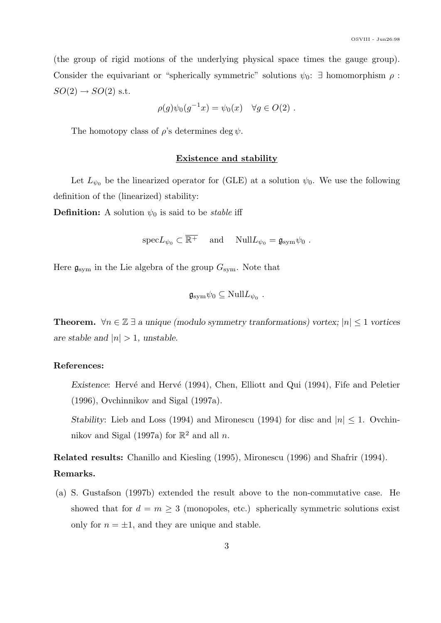(the group of rigid motions of the underlying physical space times the gauge group). Consider the equivariant or "spherically symmetric" solutions  $\psi_0$ :  $\exists$  homomorphism  $\rho$ :  $SO(2) \rightarrow SO(2)$  s.t.

$$
\rho(g)\psi_0(g^{-1}x) = \psi_0(x) \quad \forall g \in O(2) .
$$

The homotopy class of  $\rho$ 's determines deg  $\psi$ .

#### Existence and stability

Let  $L_{\psi_0}$  be the linearized operator for (GLE) at a solution  $\psi_0$ . We use the following definition of the (linearized) stability:

**Definition:** A solution  $\psi_0$  is said to be *stable* iff

 $\mathrm{spec}L_{\psi_0}\subset\overline{\mathbb{R}^+}$  and  $\mathrm{Null}L_{\psi_0}=\mathfrak{g}_{\mathrm{sym}}\psi_0$ .

Here  $\mathfrak{g}_{sym}$  in the Lie algebra of the group  $G_{sym}$ . Note that

$$
\mathfrak{g}_{\mathrm{sym}}\psi_0\subseteq \mathrm{Null} L_{\psi_0} .
$$

**Theorem.**  $\forall n \in \mathbb{Z}$  ∃ a unique (modulo symmetry tranformations) vortex;  $|n|$  ≤ 1 vortices are stable and  $|n| > 1$ , unstable.

#### References:

Existence: Hervé and Hervé (1994), Chen, Elliott and Qui (1994), Fife and Peletier (1996), Ovchinnikov and Sigal (1997a).

Stability: Lieb and Loss (1994) and Mironescu (1994) for disc and  $|n| \leq 1$ . Ovchinnikov and Sigal (1997a) for  $\mathbb{R}^2$  and all n.

Related results: Chanillo and Kiesling (1995), Mironescu (1996) and Shafrir (1994). Remarks.

(a) S. Gustafson (1997b) extended the result above to the non-commutative case. He showed that for  $d = m \geq 3$  (monopoles, etc.) spherically symmetric solutions exist only for  $n = \pm 1$ , and they are unique and stable.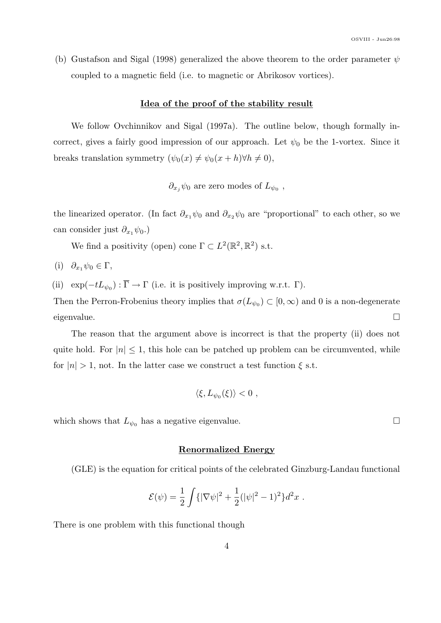(b) Gustafson and Sigal (1998) generalized the above theorem to the order parameter  $\psi$ coupled to a magnetic field (i.e. to magnetic or Abrikosov vortices).

#### Idea of the proof of the stability result

We follow Ovchinnikov and Sigal (1997a). The outline below, though formally incorrect, gives a fairly good impression of our approach. Let  $\psi_0$  be the 1-vortex. Since it breaks translation symmetry  $(\psi_0(x) \neq \psi_0(x + h)\forall h \neq 0),$ 

 $\partial_{x_j}\psi_0$  are zero modes of  $L_{\psi_0}$ ,

the linearized operator. (In fact  $\partial_{x_1} \psi_0$  and  $\partial_{x_2} \psi_0$  are "proportional" to each other, so we can consider just  $\partial_{x_1} \psi_0$ .)

We find a positivity (open) cone  $\Gamma \subset L^2(\mathbb{R}^2, \mathbb{R}^2)$  s.t.

(i)  $\partial_{x_1} \psi_0 \in \Gamma$ ,

(ii)  $\exp(-tL_{\psi_0}) : \overline{\Gamma} \to \Gamma$  (i.e. it is positively improving w.r.t.  $\Gamma$ ).

Then the Perron-Frobenius theory implies that  $\sigma(L_{\psi_0}) \subset [0,\infty)$  and 0 is a non-degenerate eigenvalue.  $\Box$ 

The reason that the argument above is incorrect is that the property (ii) does not quite hold. For  $|n| \leq 1$ , this hole can be patched up problem can be circumvented, while for  $|n| > 1$ , not. In the latter case we construct a test function  $\xi$  s.t.

$$
\langle \xi, L_{\psi_0}(\xi) \rangle < 0 ,
$$

which shows that  $L_{\psi_0}$  has a negative eigenvalue.

## Renormalized Energy

(GLE) is the equation for critical points of the celebrated Ginzburg-Landau functional

$$
\mathcal{E}(\psi) = \frac{1}{2} \int {\{ |\nabla \psi|^2 + \frac{1}{2} (|\psi|^2 - 1)^2 \} d^2 x}.
$$

There is one problem with this functional though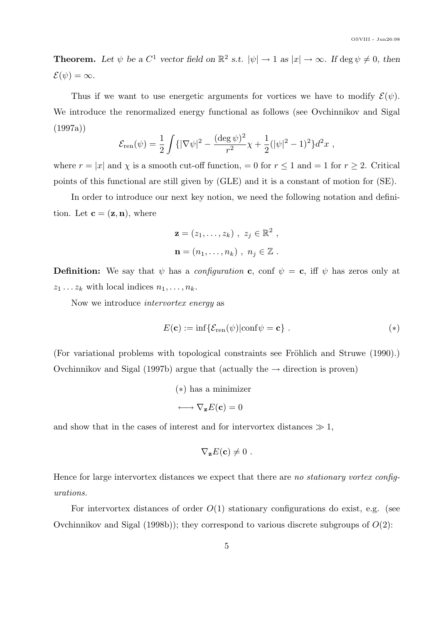**Theorem.** Let  $\psi$  be a  $C^1$  vector field on  $\mathbb{R}^2$  s.t.  $|\psi| \to 1$  as  $|x| \to \infty$ . If  $\deg \psi \neq 0$ , then  $\mathcal{E}(\psi) = \infty.$ 

Thus if we want to use energetic arguments for vortices we have to modify  $\mathcal{E}(\psi)$ . We introduce the renormalized energy functional as follows (see Ovchinnikov and Sigal  $(1997a)$ 

$$
\mathcal{E}_{\rm ren}(\psi) = \frac{1}{2} \int \{ |\nabla \psi|^2 - \frac{(\deg \psi)^2}{r^2} \chi + \frac{1}{2} (|\psi|^2 - 1)^2 \} d^2x ,
$$

where  $r = |x|$  and  $\chi$  is a smooth cut-off function, = 0 for  $r \le 1$  and = 1 for  $r \ge 2$ . Critical points of this functional are still given by (GLE) and it is a constant of motion for (SE).

In order to introduce our next key notion, we need the following notation and definition. Let  $\mathbf{c} = (\mathbf{z}, \mathbf{n})$ , where

$$
\mathbf{z} = (z_1, \dots, z_k) , z_j \in \mathbb{R}^2 ,
$$
  

$$
\mathbf{n} = (n_1, \dots, n_k) , n_j \in \mathbb{Z} .
$$

**Definition:** We say that  $\psi$  has a *configuration* c, conf  $\psi = c$ , iff  $\psi$  has zeros only at  $z_1 \ldots z_k$  with local indices  $n_1, \ldots, n_k$ .

Now we introduce intervortex energy as

$$
E(\mathbf{c}) := \inf \{ \mathcal{E}_{ren}(\psi) | \text{conf}\psi = \mathbf{c} \} . \tag{*}
$$

(For variational problems with topological constraints see Fröhlich and Struwe (1990).) Ovchinnikov and Sigal (1997b) argue that (actually the  $\rightarrow$  direction is proven)

(∗) has a minimizer

$$
\longleftrightarrow \nabla_{\mathbf{z}} E(\mathbf{c}) = 0
$$

and show that in the cases of interest and for intervortex distances  $\gg 1$ ,

$$
\nabla_{\mathbf{z}} E(\mathbf{c}) \neq 0.
$$

Hence for large intervortex distances we expect that there are no stationary vortex configurations.

For intervortex distances of order  $O(1)$  stationary configurations do exist, e.g. (see Ovchinnikov and Sigal (1998b)); they correspond to various discrete subgroups of  $O(2)$ :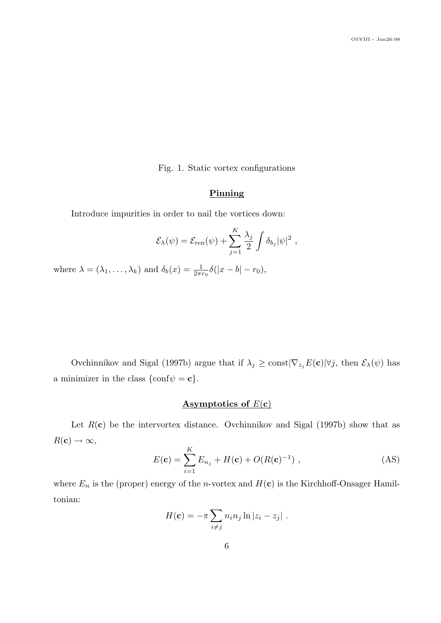Fig. 1. Static vortex configurations

# Pinning

Introduce impurities in order to nail the vortices down:

$$
\mathcal{E}_{\lambda}(\psi) = \mathcal{E}_{\text{ren}}(\psi) + \sum_{j=1}^{K} \frac{\lambda_j}{2} \int \delta_{b_j} |\psi|^2 ,
$$

where  $\lambda = (\lambda_1, \dots, \lambda_k)$  and  $\delta_b(x) = \frac{1}{2\pi r_0} \delta(|x - b| - r_0)$ ,

Ovchinnikov and Sigal (1997b) argue that if  $\lambda_j \ge \text{const}|\nabla_{z_j}E(\mathbf{c})|\forall j$ , then  $\mathcal{E}_{\lambda}(\psi)$  has a minimizer in the class  $\{\text{conf}\psi = \mathbf{c}\}.$ 

# Asymptotics of  $E(c)$

Let  $R(c)$  be the intervortex distance. Ovchinnikov and Sigal (1997b) show that as  $R(c) \rightarrow \infty$ ,

$$
E(\mathbf{c}) = \sum_{i=1}^{K} E_{n_j} + H(\mathbf{c}) + O(R(\mathbf{c})^{-1}), \qquad (AS)
$$

where  $E_n$  is the (proper) energy of the *n*-vortex and  $H(c)$  is the Kirchhoff-Onsager Hamiltonian:

$$
H(\mathbf{c}) = -\pi \sum_{i \neq j} n_i n_j \ln |z_i - z_j|.
$$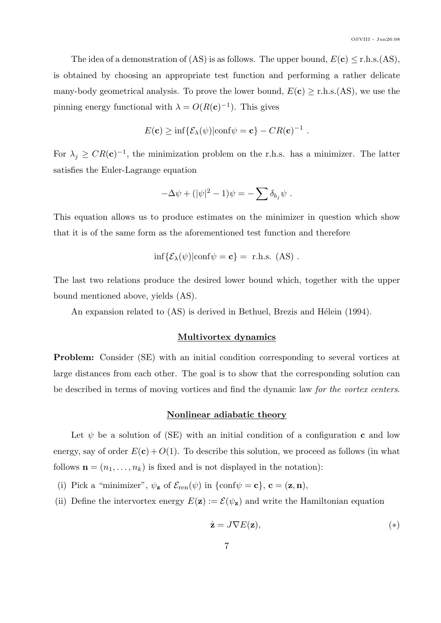The idea of a demonstration of (AS) is as follows. The upper bound,  $E(c) \leq r.h.s.(AS)$ , is obtained by choosing an appropriate test function and performing a rather delicate many-body geometrical analysis. To prove the lower bound,  $E(c) \geq r.h.s.(AS)$ , we use the pinning energy functional with  $\lambda = O(R(\mathbf{c})^{-1})$ . This gives

$$
E(\mathbf{c}) \ge \inf \{ \mathcal{E}_{\lambda}(\psi) | \text{conf}\psi = \mathbf{c} \} - CR(\mathbf{c})^{-1} .
$$

For  $\lambda_j \geq CR(\mathbf{c})^{-1}$ , the minimization problem on the r.h.s. has a minimizer. The latter satisfies the Euler-Lagrange equation

$$
-\Delta \psi + (|\psi|^2 - 1)\psi = -\sum \delta_{b_j} \psi.
$$

This equation allows us to produce estimates on the minimizer in question which show that it is of the same form as the aforementioned test function and therefore

$$
\inf \{ \mathcal{E}_{\lambda}(\psi) | \text{conf}\psi = \mathbf{c} \} = \text{ r.h.s. (AS)}.
$$

The last two relations produce the desired lower bound which, together with the upper bound mentioned above, yields (AS).

An expansion related to  $(AS)$  is derived in Bethuel, Brezis and Hélein (1994).

#### Multivortex dynamics

Problem: Consider (SE) with an initial condition corresponding to several vortices at large distances from each other. The goal is to show that the corresponding solution can be described in terms of moving vortices and find the dynamic law for the vortex centers.

#### Nonlinear adiabatic theory

Let  $\psi$  be a solution of (SE) with an initial condition of a configuration c and low energy, say of order  $E(c) + O(1)$ . To describe this solution, we proceed as follows (in what follows  $\mathbf{n} = (n_1, \ldots, n_k)$  is fixed and is not displayed in the notation):

(i) Pick a "minimizer",  $\psi_{\mathbf{z}}$  of  $\mathcal{E}_{ren}(\psi)$  in  $\{\text{conf}\psi = \mathbf{c}\}, \mathbf{c} = (\mathbf{z}, \mathbf{n}),$ 

(ii) Define the intervortex energy  $E(\mathbf{z}) := \mathcal{E}(\psi_{\mathbf{z}})$  and write the Hamiltonian equation

$$
\dot{\mathbf{z}} = J \nabla E(\mathbf{z}),\tag{*}
$$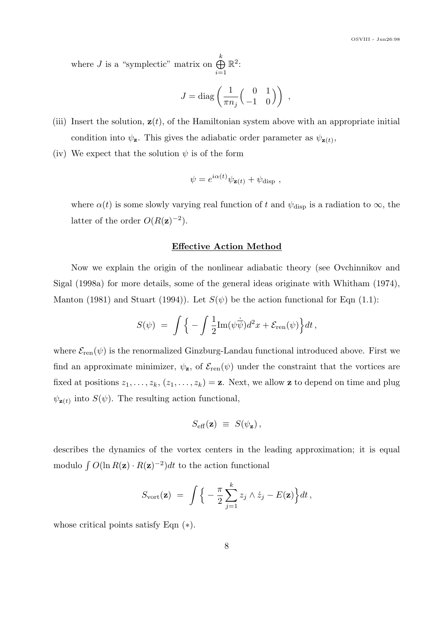where *J* is a "symplectic" matrix on  $\bigoplus^k$  $i=1$  $\mathbb{R}^2$ :

$$
J = \text{diag}\left(\frac{1}{\pi n_j} \begin{pmatrix} 0 & 1 \\ -1 & 0 \end{pmatrix}\right) ,
$$

- (iii) Insert the solution,  $z(t)$ , of the Hamiltonian system above with an appropriate initial condition into  $\psi_{\mathbf{z}}$ . This gives the adiabatic order parameter as  $\psi_{\mathbf{z}(t)}$ ,
- (iv) We expect that the solution  $\psi$  is of the form

$$
\psi = e^{i\alpha(t)} \psi_{\mathbf{z}(t)} + \psi_{\text{disp}} ,
$$

where  $\alpha(t)$  is some slowly varying real function of t and  $\psi_{\text{disp}}$  is a radiation to  $\infty$ , the latter of the order  $O(R(\mathbf{z})^{-2})$ .

### Effective Action Method

Now we explain the origin of the nonlinear adiabatic theory (see Ovchinnikov and Sigal (1998a) for more details, some of the general ideas originate with Whitham (1974), Manton (1981) and Stuart (1994)). Let  $S(\psi)$  be the action functional for Eqn (1.1):

$$
S(\psi) = \int \Big\{ -\int \frac{1}{2} \text{Im}(\psi \dot{\overline{\psi}}) d^2 x + \mathcal{E}_{\text{ren}}(\psi) \Big\} dt \,,
$$

where  $\mathcal{E}_{ren}(\psi)$  is the renormalized Ginzburg-Landau functional introduced above. First we find an approximate minimizer,  $\psi_z$ , of  $\mathcal{E}_{ren}(\psi)$  under the constraint that the vortices are fixed at positions  $z_1, \ldots, z_k$ ,  $(z_1, \ldots, z_k) = \mathbf{z}$ . Next, we allow **z** to depend on time and plug  $\psi_{\mathbf{z}(t)}$  into  $S(\psi)$ . The resulting action functional,

$$
S_{\rm eff}(\mathbf{z}) \equiv S(\psi_{\mathbf{z}}) \,,
$$

describes the dynamics of the vortex centers in the leading approximation; it is equal modulo  $\int O(\ln R(\mathbf{z}) \cdot R(\mathbf{z})^{-2}) dt$  to the action functional

$$
S_{\text{vort}}(\mathbf{z}) = \int \Big\{ -\frac{\pi}{2} \sum_{j=1}^{k} z_j \wedge \dot{z}_j - E(\mathbf{z}) \Big\} dt \,,
$$

whose critical points satisfy Eqn (∗).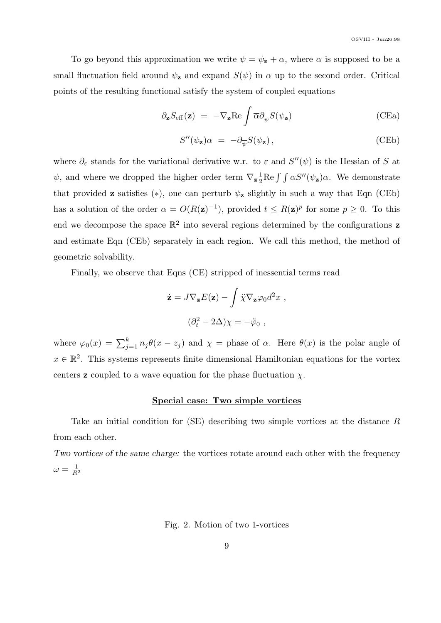To go beyond this approximation we write  $\psi = \psi_{\mathbf{z}} + \alpha$ , where  $\alpha$  is supposed to be a small fluctuation field around  $\psi$ <sub>z</sub> and expand  $S(\psi)$  in  $\alpha$  up to the second order. Critical points of the resulting functional satisfy the system of coupled equations

$$
\partial_{\mathbf{z}} S_{\text{eff}}(\mathbf{z}) = -\nabla_{\mathbf{z}} \text{Re} \int \overline{\alpha} \partial_{\overline{\psi}} S(\psi_{\mathbf{z}})
$$
 (CEa)

$$
S''(\psi_{\mathbf{z}})\alpha = -\partial_{\overline{\psi}}S(\psi_{\mathbf{z}}), \qquad (CEb)
$$

where  $\partial_{\varepsilon}$  stands for the variational derivative w.r. to  $\varepsilon$  and  $S''(\psi)$  is the Hessian of S at  $\psi$ , and where we dropped the higher order term  $\nabla_{\mathbf{z}} \frac{1}{2}$  $\frac{1}{2}$ Re  $\int \int \overline{\alpha} S''(\psi_z) \alpha$ . We demonstrate that provided **z** satisfies  $(*)$ , one can perturb  $\psi$ **z** slightly in such a way that Eqn (CEb) has a solution of the order  $\alpha = O(R(\mathbf{z})^{-1})$ , provided  $t \leq R(\mathbf{z})^p$  for some  $p \geq 0$ . To this end we decompose the space  $\mathbb{R}^2$  into several regions determined by the configurations **z** and estimate Eqn (CEb) separately in each region. We call this method, the method of geometric solvability.

Finally, we observe that Eqns (CE) stripped of inessential terms read

$$
\dot{\mathbf{z}} = J \nabla_{\mathbf{z}} E(\mathbf{z}) - \int \ddot{\chi} \nabla_{\mathbf{z}} \varphi_0 d^2 x ,
$$

$$
(\partial_t^2 - 2\Delta)\chi = -\ddot{\varphi}_0 ,
$$

where  $\varphi_0(x) = \sum_{j=1}^k n_j \theta(x - z_j)$  and  $\chi =$  phase of  $\alpha$ . Here  $\theta(x)$  is the polar angle of  $x \in \mathbb{R}^2$ . This systems represents finite dimensional Hamiltonian equations for the vortex centers **z** coupled to a wave equation for the phase fluctuation  $\chi$ .

#### Special case: Two simple vortices

Take an initial condition for (SE) describing two simple vortices at the distance R from each other.

Two vortices of the same charge: the vortices rotate around each other with the frequency  $\omega=\frac{1}{B}$  $\overline{R^2}$ 

Fig. 2. Motion of two 1-vortices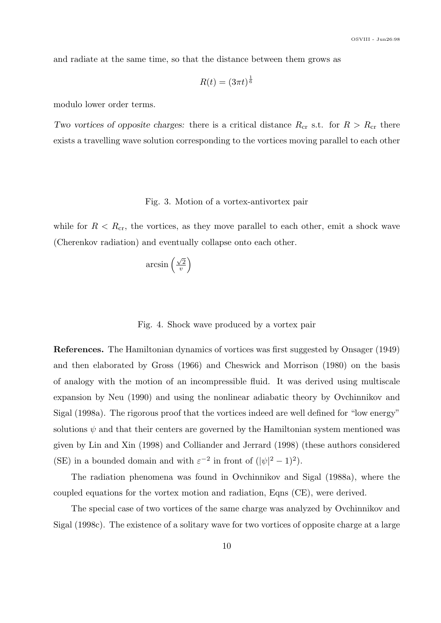and radiate at the same time, so that the distance between them grows as

$$
R(t)=(3\pi t)^\frac{1}{6}
$$

modulo lower order terms.

Two vortices of opposite charges: there is a critical distance  $R_{cr}$  s.t. for  $R > R_{cr}$  there exists a travelling wave solution corresponding to the vortices moving parallel to each other

#### Fig. 3. Motion of a vortex-antivortex pair

while for  $R < R_{cr}$ , the vortices, as they move parallel to each other, emit a shock wave (Cherenkov radiation) and eventually collapse onto each other.

$$
\arcsin\left(\frac{\sqrt{2}}{v}\right)
$$

Fig. 4. Shock wave produced by a vortex pair

References. The Hamiltonian dynamics of vortices was first suggested by Onsager (1949) and then elaborated by Gross (1966) and Cheswick and Morrison (1980) on the basis of analogy with the motion of an incompressible fluid. It was derived using multiscale expansion by Neu (1990) and using the nonlinear adiabatic theory by Ovchinnikov and Sigal (1998a). The rigorous proof that the vortices indeed are well defined for "low energy" solutions  $\psi$  and that their centers are governed by the Hamiltonian system mentioned was given by Lin and Xin (1998) and Colliander and Jerrard (1998) (these authors considered (SE) in a bounded domain and with  $\varepsilon^{-2}$  in front of  $(|\psi|^2 - 1)^2$ .

The radiation phenomena was found in Ovchinnikov and Sigal (1988a), where the coupled equations for the vortex motion and radiation, Eqns (CE), were derived.

The special case of two vortices of the same charge was analyzed by Ovchinnikov and Sigal (1998c). The existence of a solitary wave for two vortices of opposite charge at a large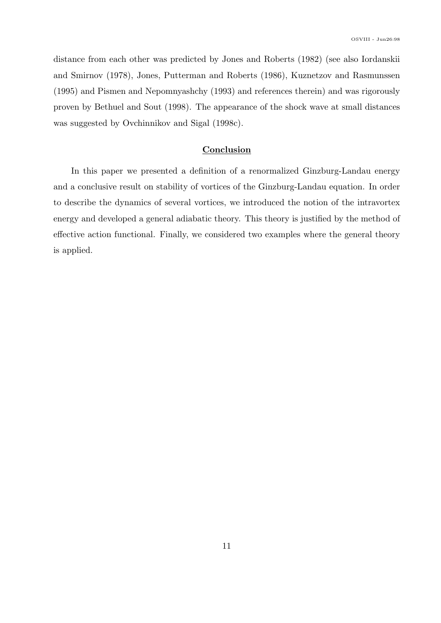distance from each other was predicted by Jones and Roberts (1982) (see also Iordanskii and Smirnov (1978), Jones, Putterman and Roberts (1986), Kuznetzov and Rasmunssen (1995) and Pismen and Nepomnyashchy (1993) and references therein) and was rigorously proven by Bethuel and Sout (1998). The appearance of the shock wave at small distances was suggested by Ovchinnikov and Sigal (1998c).

#### Conclusion

In this paper we presented a definition of a renormalized Ginzburg-Landau energy and a conclusive result on stability of vortices of the Ginzburg-Landau equation. In order to describe the dynamics of several vortices, we introduced the notion of the intravortex energy and developed a general adiabatic theory. This theory is justified by the method of effective action functional. Finally, we considered two examples where the general theory is applied.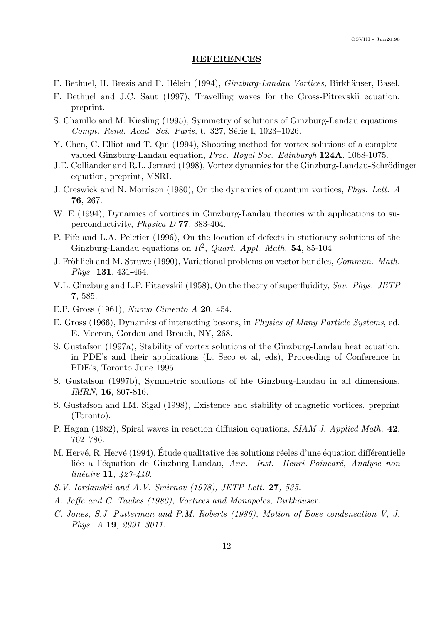#### REFERENCES

- F. Bethuel, H. Brezis and F. Hélein (1994), *Ginzburg-Landau Vortices*, Birkhäuser, Basel.
- F. Bethuel and J.C. Saut (1997), Travelling waves for the Gross-Pitrevskii equation, preprint.
- S. Chanillo and M. Kiesling (1995), Symmetry of solutions of Ginzburg-Landau equations, Compt. Rend. Acad. Sci. Paris, t. 327, Série I, 1023–1026.
- Y. Chen, C. Elliot and T. Qui (1994), Shooting method for vortex solutions of a complexvalued Ginzburg-Landau equation, Proc. Royal Soc. Edinburgh 124A, 1068-1075.
- J.E. Colliander and R.L. Jerrard (1998), Vortex dynamics for the Ginzburg-Landau-Schrödinger equation, preprint, MSRI.
- J. Creswick and N. Morrison (1980), On the dynamics of quantum vortices, Phys. Lett. A 76, 267.
- W. E (1994), Dynamics of vortices in Ginzburg-Landau theories with applications to superconductivity, Physica D 77, 383-404.
- P. Fife and L.A. Peletier (1996), On the location of defects in stationary solutions of the Ginzburg-Landau equations on  $R^2$ , Quart. Appl. Math. 54, 85-104.
- J. Fröhlich and M. Struwe (1990), Variational problems on vector bundles, Commun. Math. Phys. 131, 431-464.
- V.L. Ginzburg and L.P. Pitaevskii (1958), On the theory of superfluidity, Sov. Phys. JETP 7, 585.
- E.P. Gross (1961), Nuovo Cimento A 20, 454.
- E. Gross (1966), Dynamics of interacting bosons, in Physics of Many Particle Systems, ed. E. Meeron, Gordon and Breach, NY, 268.
- S. Gustafson (1997a), Stability of vortex solutions of the Ginzburg-Landau heat equation, in PDE's and their applications (L. Seco et al, eds), Proceeding of Conference in PDE's, Toronto June 1995.
- S. Gustafson (1997b), Symmetric solutions of hte Ginzburg-Landau in all dimensions, IMRN, 16, 807-816.
- S. Gustafson and I.M. Sigal (1998), Existence and stability of magnetic vortices. preprint (Toronto).
- P. Hagan (1982), Spiral waves in reaction diffusion equations, SIAM J. Applied Math. 42, 762–786.
- M. Hervé, R. Hervé (1994), Étude qualitative des solutions réeles d'une équation différentielle liée a l'équation de Ginzburg-Landau, Ann. Inst. Henri Poincaré, Analyse non  $linéaire$  11,  $427-440$ .
- S.V. Iordanskii and A.V. Smirnov (1978), JETP Lett. 27, 535.
- A. Jaffe and C. Taubes (1980), Vortices and Monopoles, Birkhäuser.
- C. Jones, S.J. Putterman and P.M. Roberts (1986), Motion of Bose condensation V, J. Phys. A 19, 2991–3011.